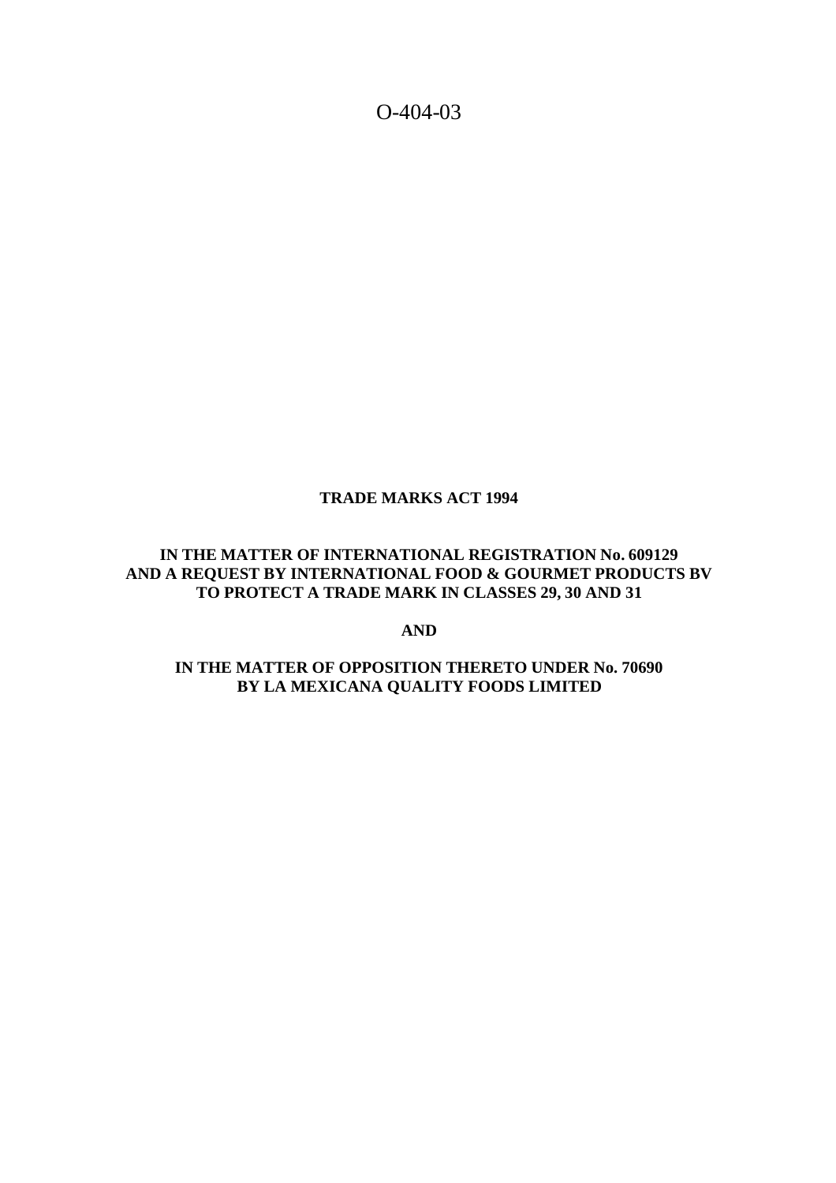O-404-03

#### **TRADE MARKS ACT 1994**

### **IN THE MATTER OF INTERNATIONAL REGISTRATION No. 609129 AND A REQUEST BY INTERNATIONAL FOOD & GOURMET PRODUCTS BV TO PROTECT A TRADE MARK IN CLASSES 29, 30 AND 31**

**AND**

# **IN THE MATTER OF OPPOSITION THERETO UNDER No. 70690 BY LA MEXICANA QUALITY FOODS LIMITED**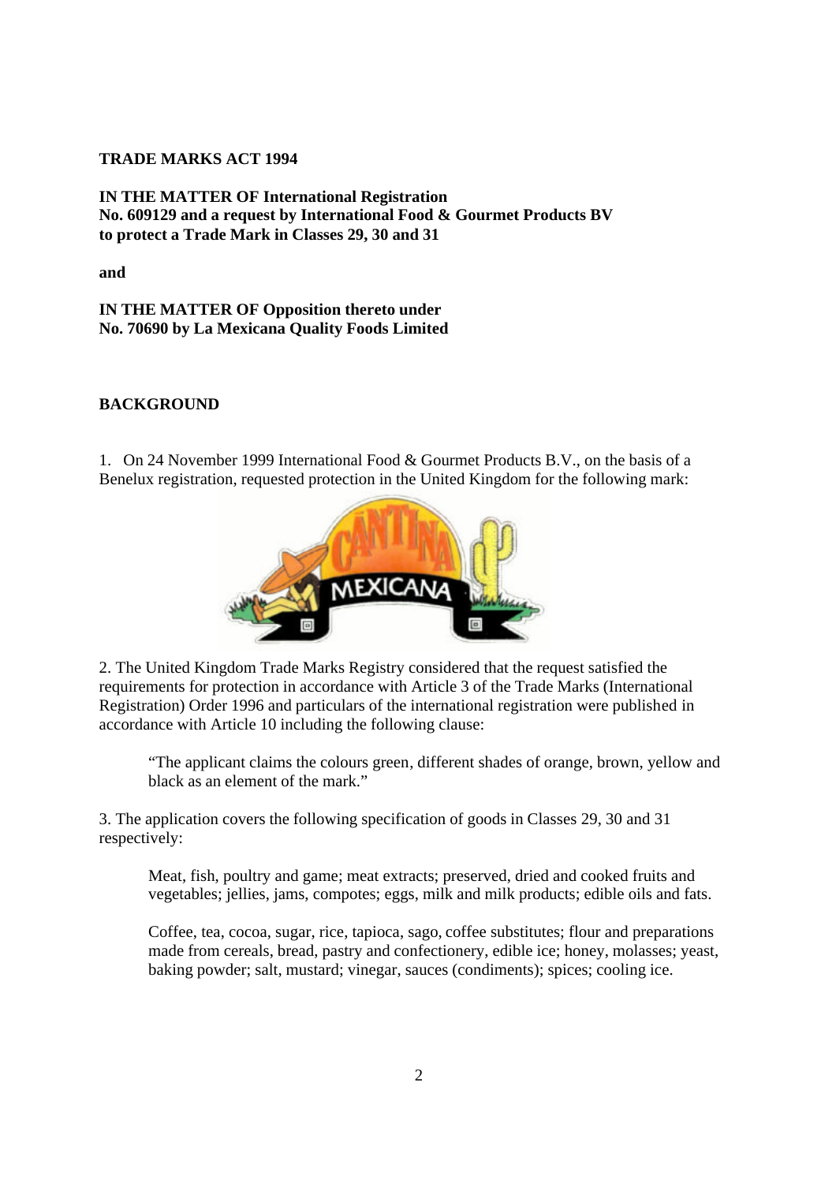### **TRADE MARKS ACT 1994**

**IN THE MATTER OF International Registration No. 609129 and a request by International Food & Gourmet Products BV to protect a Trade Mark in Classes 29, 30 and 31**

**and**

**IN THE MATTER OF Opposition thereto under No. 70690 by La Mexicana Quality Foods Limited**

#### **BACKGROUND**

1. On 24 November 1999 International Food & Gourmet Products B.V., on the basis of a Benelux registration, requested protection in the United Kingdom for the following mark:



2. The United Kingdom Trade Marks Registry considered that the request satisfied the requirements for protection in accordance with Article 3 of the Trade Marks (International Registration) Order 1996 and particulars of the international registration were published in accordance with Article 10 including the following clause:

"The applicant claims the colours green, different shades of orange, brown, yellow and black as an element of the mark."

3. The application covers the following specification of goods in Classes 29, 30 and 31 respectively:

Meat, fish, poultry and game; meat extracts; preserved, dried and cooked fruits and vegetables; jellies, jams, compotes; eggs, milk and milk products; edible oils and fats.

Coffee, tea, cocoa, sugar, rice, tapioca, sago, coffee substitutes; flour and preparations made from cereals, bread, pastry and confectionery, edible ice; honey, molasses; yeast, baking powder; salt, mustard; vinegar, sauces (condiments); spices; cooling ice.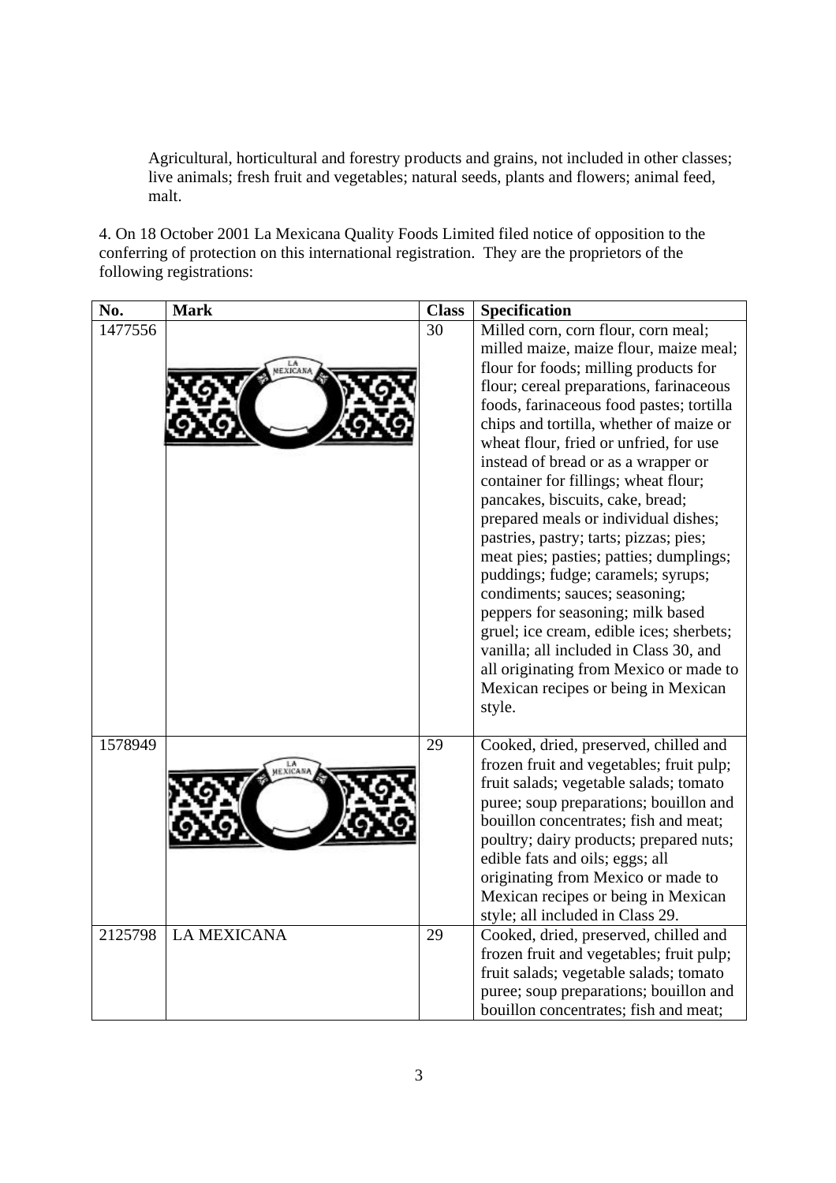Agricultural, horticultural and forestry products and grains, not included in other classes; live animals; fresh fruit and vegetables; natural seeds, plants and flowers; animal feed, malt.

4. On 18 October 2001 La Mexicana Quality Foods Limited filed notice of opposition to the conferring of protection on this international registration. They are the proprietors of the following registrations:

| No.     | <b>Mark</b>        | <b>Class</b> | Specification                                                                                                                                                                                                                                                                                                                                                                                                                                                                                                                                                                                                                                                                                                                                                                                                                                    |
|---------|--------------------|--------------|--------------------------------------------------------------------------------------------------------------------------------------------------------------------------------------------------------------------------------------------------------------------------------------------------------------------------------------------------------------------------------------------------------------------------------------------------------------------------------------------------------------------------------------------------------------------------------------------------------------------------------------------------------------------------------------------------------------------------------------------------------------------------------------------------------------------------------------------------|
| 1477556 | EXICANA            | 30           | Milled corn, corn flour, corn meal;<br>milled maize, maize flour, maize meal;<br>flour for foods; milling products for<br>flour; cereal preparations, farinaceous<br>foods, farinaceous food pastes; tortilla<br>chips and tortilla, whether of maize or<br>wheat flour, fried or unfried, for use<br>instead of bread or as a wrapper or<br>container for fillings; wheat flour;<br>pancakes, biscuits, cake, bread;<br>prepared meals or individual dishes;<br>pastries, pastry; tarts; pizzas; pies;<br>meat pies; pasties; patties; dumplings;<br>puddings; fudge; caramels; syrups;<br>condiments; sauces; seasoning;<br>peppers for seasoning; milk based<br>gruel; ice cream, edible ices; sherbets;<br>vanilla; all included in Class 30, and<br>all originating from Mexico or made to<br>Mexican recipes or being in Mexican<br>style. |
| 1578949 |                    | 29           | Cooked, dried, preserved, chilled and<br>frozen fruit and vegetables; fruit pulp;<br>fruit salads; vegetable salads; tomato<br>puree; soup preparations; bouillon and<br>bouillon concentrates; fish and meat;<br>poultry; dairy products; prepared nuts;<br>edible fats and oils; eggs; all<br>originating from Mexico or made to<br>Mexican recipes or being in Mexican<br>style; all included in Class 29.                                                                                                                                                                                                                                                                                                                                                                                                                                    |
| 2125798 | <b>LA MEXICANA</b> | 29           | Cooked, dried, preserved, chilled and<br>frozen fruit and vegetables; fruit pulp;<br>fruit salads; vegetable salads; tomato<br>puree; soup preparations; bouillon and<br>bouillon concentrates; fish and meat;                                                                                                                                                                                                                                                                                                                                                                                                                                                                                                                                                                                                                                   |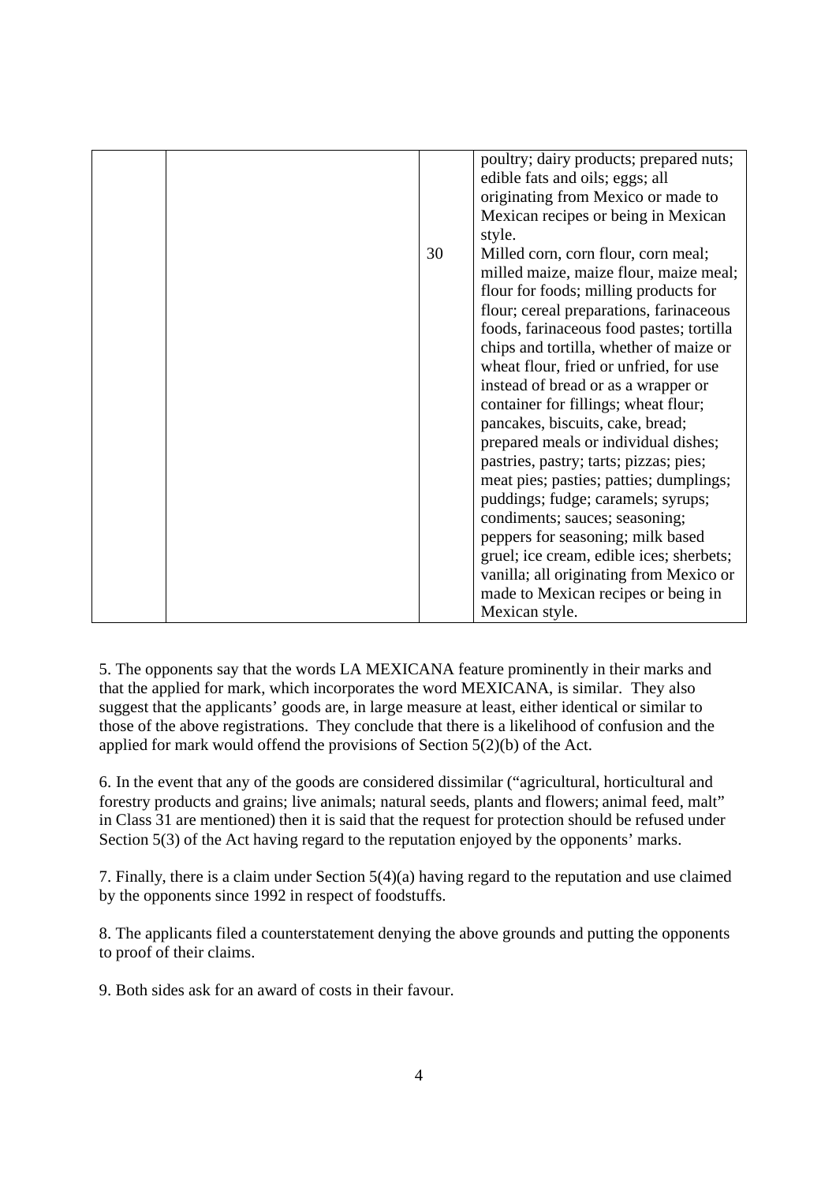|  |    | poultry; dairy products; prepared nuts;<br>edible fats and oils; eggs; all<br>originating from Mexico or made to |
|--|----|------------------------------------------------------------------------------------------------------------------|
|  |    | Mexican recipes or being in Mexican                                                                              |
|  |    | style.                                                                                                           |
|  | 30 | Milled corn, corn flour, corn meal;                                                                              |
|  |    | milled maize, maize flour, maize meal;                                                                           |
|  |    | flour for foods; milling products for                                                                            |
|  |    | flour; cereal preparations, farinaceous                                                                          |
|  |    | foods, farinaceous food pastes; tortilla                                                                         |
|  |    | chips and tortilla, whether of maize or                                                                          |
|  |    | wheat flour, fried or unfried, for use                                                                           |
|  |    | instead of bread or as a wrapper or                                                                              |
|  |    | container for fillings; wheat flour;                                                                             |
|  |    | pancakes, biscuits, cake, bread;                                                                                 |
|  |    | prepared meals or individual dishes;                                                                             |
|  |    | pastries, pastry; tarts; pizzas; pies;                                                                           |
|  |    | meat pies; pasties; patties; dumplings;                                                                          |
|  |    | puddings; fudge; caramels; syrups;                                                                               |
|  |    | condiments; sauces; seasoning;                                                                                   |
|  |    | peppers for seasoning; milk based                                                                                |
|  |    | gruel; ice cream, edible ices; sherbets;                                                                         |
|  |    | vanilla; all originating from Mexico or                                                                          |
|  |    | made to Mexican recipes or being in                                                                              |
|  |    | Mexican style.                                                                                                   |

5. The opponents say that the words LA MEXICANA feature prominently in their marks and that the applied for mark, which incorporates the word MEXICANA, is similar. They also suggest that the applicants' goods are, in large measure at least, either identical or similar to those of the above registrations. They conclude that there is a likelihood of confusion and the applied for mark would offend the provisions of Section 5(2)(b) of the Act.

6. In the event that any of the goods are considered dissimilar ("agricultural, horticultural and forestry products and grains; live animals; natural seeds, plants and flowers; animal feed, malt" in Class 31 are mentioned) then it is said that the request for protection should be refused under Section 5(3) of the Act having regard to the reputation enjoyed by the opponents' marks.

7. Finally, there is a claim under Section 5(4)(a) having regard to the reputation and use claimed by the opponents since 1992 in respect of foodstuffs.

8. The applicants filed a counterstatement denying the above grounds and putting the opponents to proof of their claims.

9. Both sides ask for an award of costs in their favour.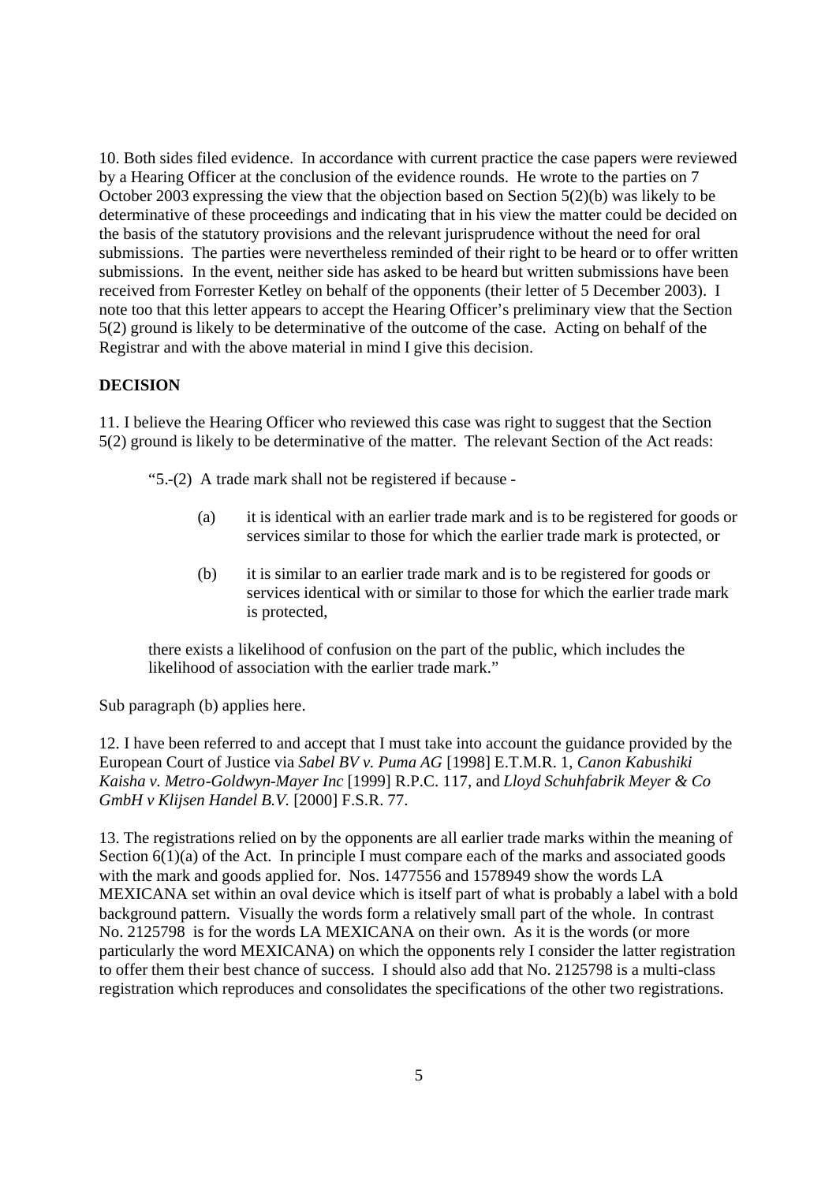10. Both sides filed evidence. In accordance with current practice the case papers were reviewed by a Hearing Officer at the conclusion of the evidence rounds. He wrote to the parties on 7 October 2003 expressing the view that the objection based on Section 5(2)(b) was likely to be determinative of these proceedings and indicating that in his view the matter could be decided on the basis of the statutory provisions and the relevant jurisprudence without the need for oral submissions. The parties were nevertheless reminded of their right to be heard or to offer written submissions. In the event, neither side has asked to be heard but written submissions have been received from Forrester Ketley on behalf of the opponents (their letter of 5 December 2003). I note too that this letter appears to accept the Hearing Officer's preliminary view that the Section 5(2) ground is likely to be determinative of the outcome of the case. Acting on behalf of the Registrar and with the above material in mind I give this decision.

# **DECISION**

11. I believe the Hearing Officer who reviewed this case was right to suggest that the Section 5(2) ground is likely to be determinative of the matter. The relevant Section of the Act reads:

"5.-(2) A trade mark shall not be registered if because -

- (a) it is identical with an earlier trade mark and is to be registered for goods or services similar to those for which the earlier trade mark is protected, or
- (b) it is similar to an earlier trade mark and is to be registered for goods or services identical with or similar to those for which the earlier trade mark is protected,

there exists a likelihood of confusion on the part of the public, which includes the likelihood of association with the earlier trade mark."

Sub paragraph (b) applies here.

12. I have been referred to and accept that I must take into account the guidance provided by the European Court of Justice via *Sabel BV v. Puma AG* [1998] E.T.M.R. 1, *Canon Kabushiki Kaisha v. Metro-Goldwyn-Mayer Inc* [1999] R.P.C. 117, and *Lloyd Schuhfabrik Meyer & Co GmbH v Klijsen Handel B.V.* [2000] F.S.R. 77.

13. The registrations relied on by the opponents are all earlier trade marks within the meaning of Section 6(1)(a) of the Act. In principle I must compare each of the marks and associated goods with the mark and goods applied for. Nos. 1477556 and 1578949 show the words LA MEXICANA set within an oval device which is itself part of what is probably a label with a bold background pattern. Visually the words form a relatively small part of the whole. In contrast No. 2125798 is for the words LA MEXICANA on their own. As it is the words (or more particularly the word MEXICANA) on which the opponents rely I consider the latter registration to offer them their best chance of success. I should also add that No. 2125798 is a multi-class registration which reproduces and consolidates the specifications of the other two registrations.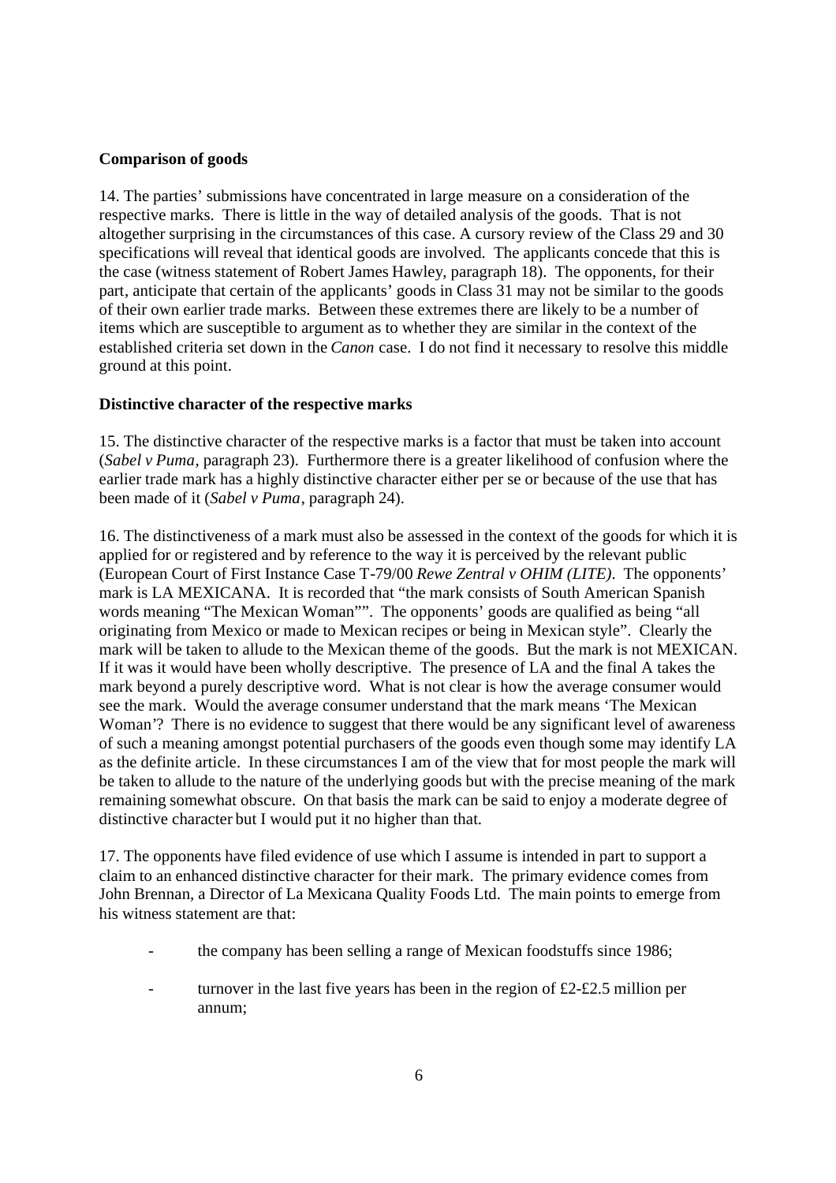#### **Comparison of goods**

14. The parties' submissions have concentrated in large measure on a consideration of the respective marks. There is little in the way of detailed analysis of the goods. That is not altogether surprising in the circumstances of this case. A cursory review of the Class 29 and 30 specifications will reveal that identical goods are involved. The applicants concede that this is the case (witness statement of Robert James Hawley, paragraph 18). The opponents, for their part, anticipate that certain of the applicants' goods in Class 31 may not be similar to the goods of their own earlier trade marks. Between these extremes there are likely to be a number of items which are susceptible to argument as to whether they are similar in the context of the established criteria set down in the *Canon* case. I do not find it necessary to resolve this middle ground at this point.

#### **Distinctive character of the respective marks**

15. The distinctive character of the respective marks is a factor that must be taken into account (*Sabel v Puma*, paragraph 23). Furthermore there is a greater likelihood of confusion where the earlier trade mark has a highly distinctive character either per se or because of the use that has been made of it (*Sabel v Puma*, paragraph 24).

16. The distinctiveness of a mark must also be assessed in the context of the goods for which it is applied for or registered and by reference to the way it is perceived by the relevant public (European Court of First Instance Case T-79/00 *Rewe Zentral v OHIM (LITE)*. The opponents' mark is LA MEXICANA. It is recorded that "the mark consists of South American Spanish words meaning "The Mexican Woman"". The opponents' goods are qualified as being "all originating from Mexico or made to Mexican recipes or being in Mexican style". Clearly the mark will be taken to allude to the Mexican theme of the goods. But the mark is not MEXICAN. If it was it would have been wholly descriptive. The presence of LA and the final A takes the mark beyond a purely descriptive word. What is not clear is how the average consumer would see the mark. Would the average consumer understand that the mark means 'The Mexican Woman'? There is no evidence to suggest that there would be any significant level of awareness of such a meaning amongst potential purchasers of the goods even though some may identify LA as the definite article. In these circumstances I am of the view that for most people the mark will be taken to allude to the nature of the underlying goods but with the precise meaning of the mark remaining somewhat obscure. On that basis the mark can be said to enjoy a moderate degree of distinctive character but I would put it no higher than that.

17. The opponents have filed evidence of use which I assume is intended in part to support a claim to an enhanced distinctive character for their mark. The primary evidence comes from John Brennan, a Director of La Mexicana Quality Foods Ltd. The main points to emerge from his witness statement are that:

- the company has been selling a range of Mexican foodstuffs since 1986;
- turnover in the last five years has been in the region of  $£2-£2.5$  million per annum;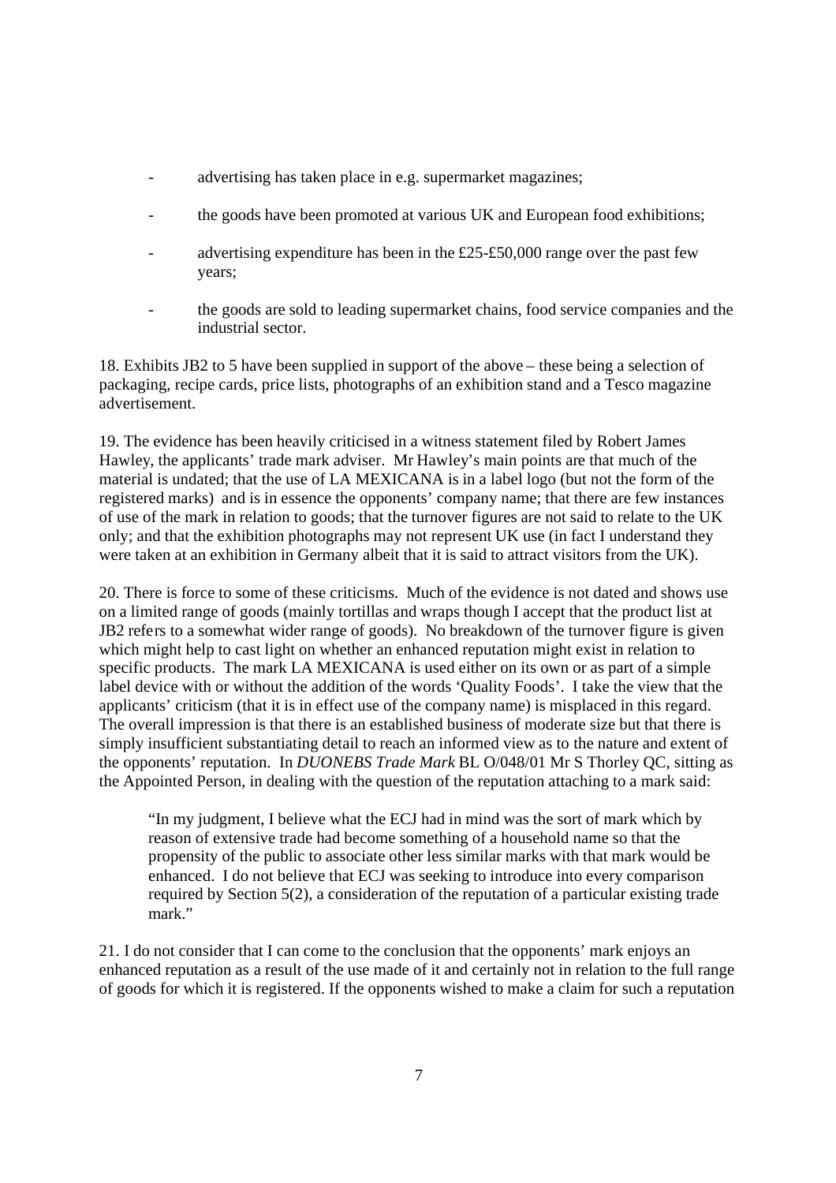- advertising has taken place in e.g. supermarket magazines;
- the goods have been promoted at various UK and European food exhibitions;
- advertising expenditure has been in the  $£25-f50,000$  range over the past few years;
- the goods are sold to leading supermarket chains, food service companies and the industrial sector.

18. Exhibits JB2 to 5 have been supplied in support of the above – these being a selection of packaging, recipe cards, price lists, photographs of an exhibition stand and a Tesco magazine advertisement.

19. The evidence has been heavily criticised in a witness statement filed by Robert James Hawley, the applicants' trade mark adviser. Mr Hawley's main points are that much of the material is undated; that the use of LA MEXICANA is in a label logo (but not the form of the registered marks) and is in essence the opponents' company name; that there are few instances of use of the mark in relation to goods; that the turnover figures are not said to relate to the UK only; and that the exhibition photographs may not represent UK use (in fact I understand they were taken at an exhibition in Germany albeit that it is said to attract visitors from the UK).

20. There is force to some of these criticisms. Much of the evidence is not dated and shows use on a limited range of goods (mainly tortillas and wraps though I accept that the product list at JB2 refers to a somewhat wider range of goods). No breakdown of the turnover figure is given which might help to cast light on whether an enhanced reputation might exist in relation to specific products. The mark LA MEXICANA is used either on its own or as part of a simple label device with or without the addition of the words 'Quality Foods'. I take the view that the applicants' criticism (that it is in effect use of the company name) is misplaced in this regard. The overall impression is that there is an established business of moderate size but that there is simply insufficient substantiating detail to reach an informed view as to the nature and extent of the opponents' reputation. In *DUONEBS Trade Mark* BL O/048/01 Mr S Thorley QC, sitting as the Appointed Person, in dealing with the question of the reputation attaching to a mark said:

"In my judgment, I believe what the ECJ had in mind was the sort of mark which by reason of extensive trade had become something of a household name so that the propensity of the public to associate other less similar marks with that mark would be enhanced. I do not believe that ECJ was seeking to introduce into every comparison required by Section 5(2), a consideration of the reputation of a particular existing trade mark."

21. I do not consider that I can come to the conclusion that the opponents' mark enjoys an enhanced reputation as a result of the use made of it and certainly not in relation to the full range of goods for which it is registered. If the opponents wished to make a claim for such a reputation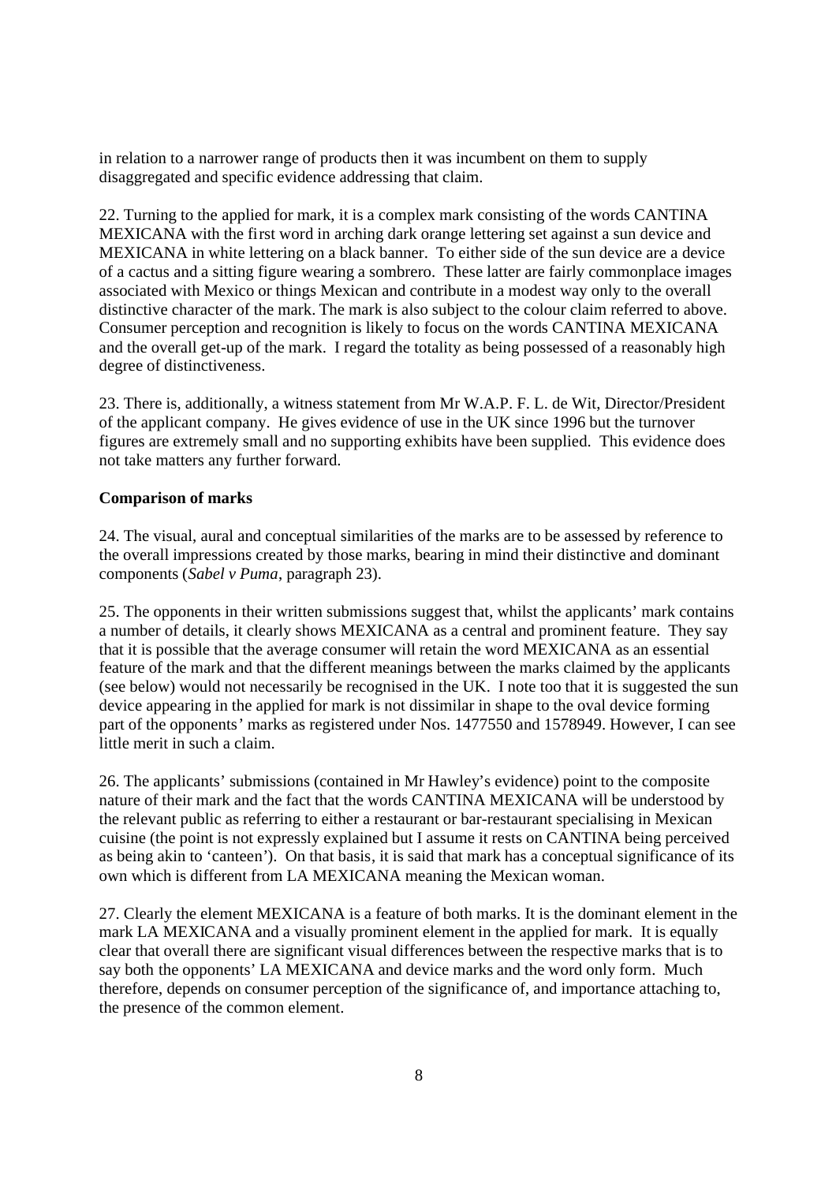in relation to a narrower range of products then it was incumbent on them to supply disaggregated and specific evidence addressing that claim.

22. Turning to the applied for mark, it is a complex mark consisting of the words CANTINA MEXICANA with the first word in arching dark orange lettering set against a sun device and MEXICANA in white lettering on a black banner. To either side of the sun device are a device of a cactus and a sitting figure wearing a sombrero. These latter are fairly commonplace images associated with Mexico or things Mexican and contribute in a modest way only to the overall distinctive character of the mark. The mark is also subject to the colour claim referred to above. Consumer perception and recognition is likely to focus on the words CANTINA MEXICANA and the overall get-up of the mark. I regard the totality as being possessed of a reasonably high degree of distinctiveness.

23. There is, additionally, a witness statement from Mr W.A.P. F. L. de Wit, Director/President of the applicant company. He gives evidence of use in the UK since 1996 but the turnover figures are extremely small and no supporting exhibits have been supplied. This evidence does not take matters any further forward.

#### **Comparison of marks**

24. The visual, aural and conceptual similarities of the marks are to be assessed by reference to the overall impressions created by those marks, bearing in mind their distinctive and dominant components (*Sabel v Puma*, paragraph 23).

25. The opponents in their written submissions suggest that, whilst the applicants' mark contains a number of details, it clearly shows MEXICANA as a central and prominent feature. They say that it is possible that the average consumer will retain the word MEXICANA as an essential feature of the mark and that the different meanings between the marks claimed by the applicants (see below) would not necessarily be recognised in the UK. I note too that it is suggested the sun device appearing in the applied for mark is not dissimilar in shape to the oval device forming part of the opponents' marks as registered under Nos. 1477550 and 1578949. However, I can see little merit in such a claim.

26. The applicants' submissions (contained in Mr Hawley's evidence) point to the composite nature of their mark and the fact that the words CANTINA MEXICANA will be understood by the relevant public as referring to either a restaurant or bar-restaurant specialising in Mexican cuisine (the point is not expressly explained but I assume it rests on CANTINA being perceived as being akin to 'canteen'). On that basis, it is said that mark has a conceptual significance of its own which is different from LA MEXICANA meaning the Mexican woman.

27. Clearly the element MEXICANA is a feature of both marks. It is the dominant element in the mark LA MEXICANA and a visually prominent element in the applied for mark. It is equally clear that overall there are significant visual differences between the respective marks that is to say both the opponents' LA MEXICANA and device marks and the word only form. Much therefore, depends on consumer perception of the significance of, and importance attaching to, the presence of the common element.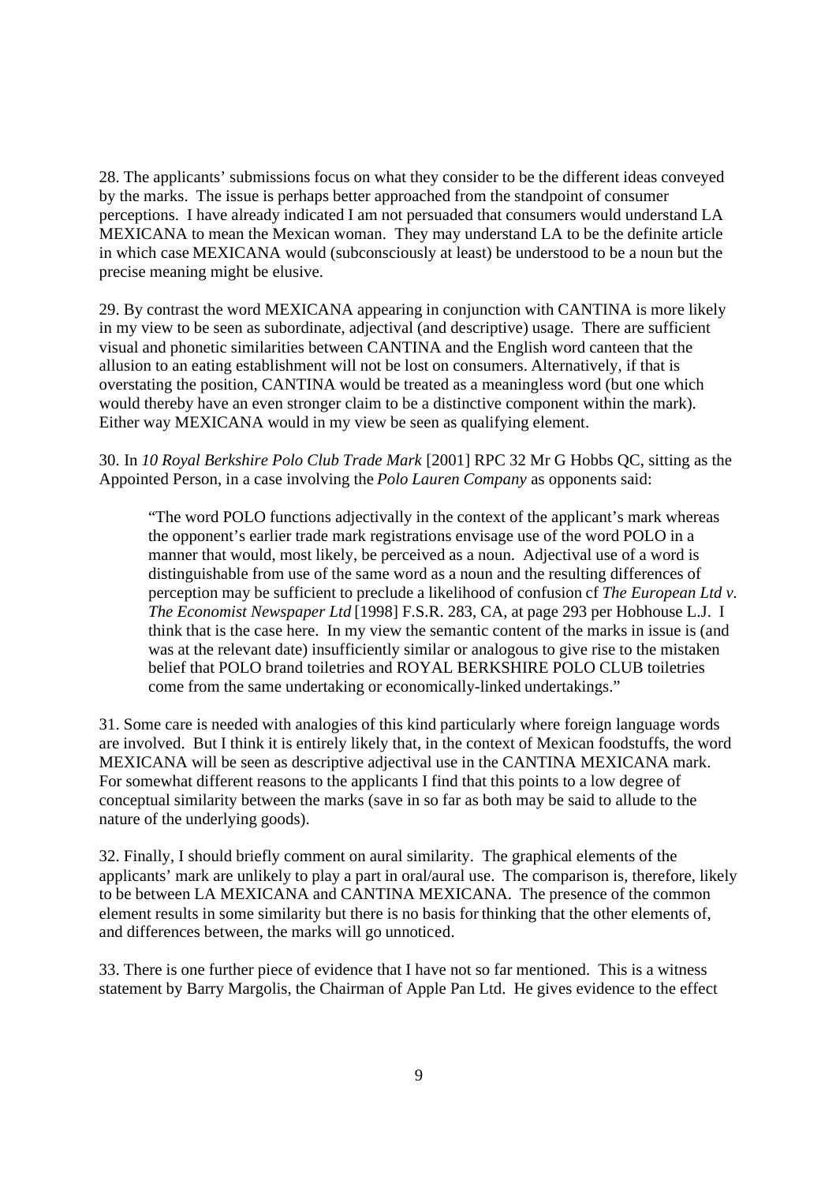28. The applicants' submissions focus on what they consider to be the different ideas conveyed by the marks. The issue is perhaps better approached from the standpoint of consumer perceptions. I have already indicated I am not persuaded that consumers would understand LA MEXICANA to mean the Mexican woman. They may understand LA to be the definite article in which case MEXICANA would (subconsciously at least) be understood to be a noun but the precise meaning might be elusive.

29. By contrast the word MEXICANA appearing in conjunction with CANTINA is more likely in my view to be seen as subordinate, adjectival (and descriptive) usage. There are sufficient visual and phonetic similarities between CANTINA and the English word canteen that the allusion to an eating establishment will not be lost on consumers. Alternatively, if that is overstating the position, CANTINA would be treated as a meaningless word (but one which would thereby have an even stronger claim to be a distinctive component within the mark). Either way MEXICANA would in my view be seen as qualifying element.

30. In *10 Royal Berkshire Polo Club Trade Mark* [2001] RPC 32 Mr G Hobbs QC, sitting as the Appointed Person, in a case involving the *Polo Lauren Company* as opponents said:

"The word POLO functions adjectivally in the context of the applicant's mark whereas the opponent's earlier trade mark registrations envisage use of the word POLO in a manner that would, most likely, be perceived as a noun. Adjectival use of a word is distinguishable from use of the same word as a noun and the resulting differences of perception may be sufficient to preclude a likelihood of confusion cf *The European Ltd v. The Economist Newspaper Ltd* [1998] F.S.R. 283, CA, at page 293 per Hobhouse L.J. I think that is the case here. In my view the semantic content of the marks in issue is (and was at the relevant date) insufficiently similar or analogous to give rise to the mistaken belief that POLO brand toiletries and ROYAL BERKSHIRE POLO CLUB toiletries come from the same undertaking or economically-linked undertakings."

31. Some care is needed with analogies of this kind particularly where foreign language words are involved. But I think it is entirely likely that, in the context of Mexican foodstuffs, the word MEXICANA will be seen as descriptive adjectival use in the CANTINA MEXICANA mark. For somewhat different reasons to the applicants I find that this points to a low degree of conceptual similarity between the marks (save in so far as both may be said to allude to the nature of the underlying goods).

32. Finally, I should briefly comment on aural similarity. The graphical elements of the applicants' mark are unlikely to play a part in oral/aural use. The comparison is, therefore, likely to be between LA MEXICANA and CANTINA MEXICANA. The presence of the common element results in some similarity but there is no basis for thinking that the other elements of, and differences between, the marks will go unnoticed.

33. There is one further piece of evidence that I have not so far mentioned. This is a witness statement by Barry Margolis, the Chairman of Apple Pan Ltd. He gives evidence to the effect